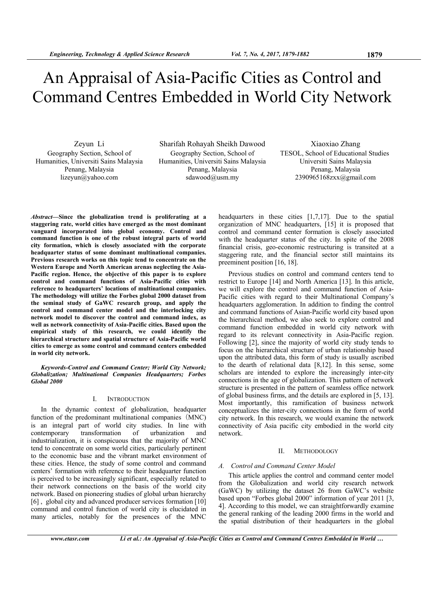# An Appraisal of Asia-Pacific Cities as Control and Command Centres Embedded in World City Network

Zeyun Li Geography Section, School of Humanities, Universiti Sains Malaysia Penang, Malaysia lizeyun@yahoo.com

Sharifah Rohayah Sheikh Dawood Geography Section, School of Humanities, Universiti Sains Malaysia Penang, Malaysia sdawood@usm.my

Xiaoxiao Zhang TESOL, School of Educational Studies Universiti Sains Malaysia Penang, Malaysia 2390965168zxx@gmail.com

*Abstract***—Since the globalization trend is proliferating at a staggering rate, world cities have emerged as the most dominant vanguard incorporated into global economy. Control and command function is one of the robust integral parts of world city formation, which is closely associated with the corporate headquarter status of some dominant multinational companies. Previous research works on this topic tend to concentrate on the Western Europe and North American arenas neglecting the Asia-Pacific region. Hence, the objective of this paper is to explore control and command functions of Asia-Pacific cities with reference to headquarters' locations of multinational companies. The methodology will utilize the Forbes global 2000 dataset from the seminal study of GaWC research group, and apply the control and command center model and the interlocking city network model to discover the control and command index, as well as network connectivity of Asia-Pacific cities. Based upon the empirical study of this research, we could identify the hierarchical structure and spatial structure of Asia-Pacific world cities to emerge as some control and command centers embedded in world city network.** 

*Keywords-Control and Command Center; World City Network; Globalization; Multinational Companies Headquarters; Forbes Global 2000* 

## I. INTRODUCTION

In the dynamic context of globalization, headquarter function of the predominant multinational companies (MNC) is an integral part of world city studies. In line with contemporary transformation of urbanization and contemporary transformation of urbanization and industrialization, it is conspicuous that the majority of MNC tend to concentrate on some world cities, particularly pertinent to the economic base and the vibrant market environment of these cities. Hence, the study of some control and command centers' formation with reference to their headquarter function is perceived to be increasingly significant, especially related to their network connections on the basis of the world city network. Based on pioneering studies of global urban hierarchy [6], global city and advanced producer services formation [10] command and control function of world city is elucidated in many articles, notably for the presences of the MNC

headquarters in these cities [1,7,17]. Due to the spatial organization of MNC headquarters, [15] it is proposed that control and command center formation is closely associated with the headquarter status of the city. In spite of the 2008 financial crisis, geo-economic restructuring is transited at a staggering rate, and the financial sector still maintains its preeminent position [16, 18].

Previous studies on control and command centers tend to restrict to Europe [14] and North America [13]. In this article, we will explore the control and command function of Asia-Pacific cities with regard to their Multinational Company's headquarters agglomeration. In addition to finding the control and command functions of Asian-Pacific world city based upon the hierarchical method, we also seek to explore control and command function embedded in world city network with regard to its relevant connectivity in Asia-Pacific region. Following [2], since the majority of world city study tends to focus on the hierarchical structure of urban relationship based upon the attributed data, this form of study is usually ascribed to the dearth of relational data [8,12]. In this sense, some scholars are intended to explore the increasingly inter-city connections in the age of globalization. This pattern of network structure is presented in the pattern of seamless office network of global business firms, and the details are explored in [5, 13]. Most importantly, this ramification of business network conceptualizes the inter-city connections in the form of world city network. In this research, we would examine the network connectivity of Asia pacific city embodied in the world city network.

## II. METHODOLOGY

#### *A. Control and Command Center Model*

This article applies the control and command center model from the Globalization and world city research network (GaWC) by utilizing the dataset 26 from GaWC's website based upon "Forbes global 2000" information of year 2011 [3, 4]. According to this model, we can straightforwardly examine the general ranking of the leading 2000 firms in the world and the spatial distribution of their headquarters in the global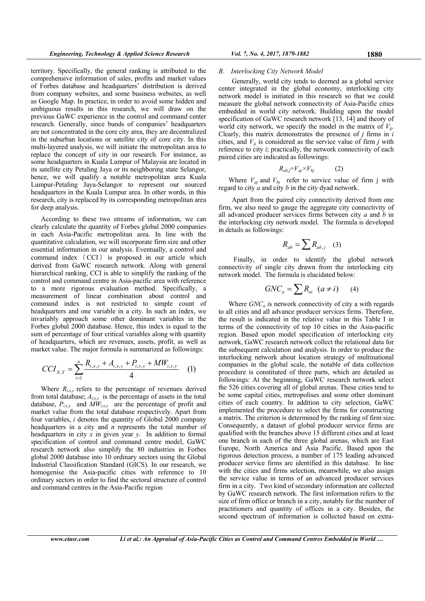territory. Specifically, the general ranking is attributed to the comprehensive information of sales, profits and market values of Forbes database and headquarters' distribution is derived from company websites, and some business websites, as well as Google Map. In practice, in order to avoid some hidden and ambiguous results in this research, we will draw on the previous GaWC experience in the control and command center research. Generally, since bunds of companies' headquarters are not concentrated in the core city area, they are decentralized in the suburban locations or satellite city of core city. In this multi-layered analysis, we will initiate the metropolitan area to replace the concept of city in our research. For instance, as some headquarters in Kuala Lumpur of Malaysia are located in its satellite city Petaling Jaya or its neighboring state Selangor, hence, we will qualify a notable metropolitan area Kuala Lumpur-Petaling Jaya-Selangor to represent our sourced headquarters in the Kuala Lumpur area. In other words, in this research, city is replaced by its corresponding metropolitan area for deep analysis.

According to these two streams of information, we can clearly calculate the quantity of Forbes global 2000 companies in each Asia-Pacific metropolitan area. In line with the quantitative calculation, we will incorporate firm size and other essential information in our analysis. Eventually, a control and command index ( CCI ) is proposed in our article which derived from GaWC research network. Along with general hierarchical ranking, CCI is able to simplify the ranking of the control and command centre in Asia-pacific area with reference to a more rigorous evaluation method. Specifically, a measurement of linear combination about control and command index is not restricted to simple count of headquarters and one variable in a city. In such an index, we invariably approach some other dominant variables in the Forbes global 2000 database. Hence, this index is equal to the sum of percentage of four critical variables along with quantity of headquarters, which are revenues, assets, profit, as well as market value. The major formula is summarized as followings:

$$
CCI_{X,Y} = \sum_{i=1}^{n} \frac{R_{i,x,y} + A_{i,x,y} + P_{i,x,y} + MW_{i,x,y}}{4}
$$
 (1)

Where  $R_{i,x,y}$  refers to the percentage of revenues derived from total database;  $A_{i,x,y}$  is the percentage of assets in the total database,  $P_{i,x,y}$  and  $\overline{MW}_{i,x,y}$  are the percentage of profit and market value from the total database respectively. Apart from four variables, *i* denotes the quantity of Global 2000 company headquarters in a city and *n* represents the total number of headquarters in city *x* in given year *y*. In addition to formal specification of control and command centre model, GaWC research network also simplify the 80 industries in Forbes global 2000 database into 10 ordinary sectors using the Global Industrial Classification Standard (GICS). In our research, we homogenise the Asia-pacific cities with reference to 10 ordinary sectors in order to find the sectoral structure of control and command centres in the Asia-Pacific region

#### *B. Interlocking City Network Model*

 Generally, world city tends to deemed as a global service center integrated in the global economy, interlocking city network model is initiated in this research so that we could measure the global network connectivity of Asia-Pacific cities embedded in world city network. Building upon the model specification of GaWC research network [13, 14] and theory of world city network, we specify the model in the matrix of  $V_{ij}$ . Clearly, this matrix demonstrates the presence of *j* firms in *i*  cities, and  $V_{ij}$  is considered as the service value of firm *j* with reference to city *i*; practically, the network connectivity of each paired cities are indicated as followings:

$$
R_{ab,j} = V_{aj} \times V_{bj} \tag{2}
$$

Where  $V_{aj}$  and  $V_{bj}$  refer to service value of firm j with regard to city *a* and city *b* in the city dyad network.

 Apart from the paired city connectivity derived from one firm, we also need to gauge the aggregate city connectivity of all advanced producer services firms between city *a* and *b* in the interlocking city network model. The formula is developed in details as followings:

$$
R_{ab} = \sum R_{ab,j} \quad (3)
$$

 Finally, in order to identify the global network connectivity of single city drawn from the interlocking city network model. The formula is elucidated below:

$$
GNC_a = \sum R_{ai} \ (a \neq i) \qquad (4)
$$

Where *GNC<sub>a</sub>* is network connectivity of city a with regards to all cities and all advance producer services firms. Therefore, the result is indicated in the relative value in this Table I in terms of the connectivity of top 10 cities in the Asia-pacific region. Based upon model specification of interlocking city network, GaWC research network collect the relational data for the subsequent calculation and analysis. In order to produce the interlocking network about location strategy of multinational companies in the global scale, the notable of data collection procedure is constituted of three parts, which are detailed as followings: At the beginning, GaWC research network select the 526 cities covering all of global arenas. These cities tend to be some capital cities, metropolises and some other dominant cities of each country. In addition to city selection, GaWC implemented the procedure to select the firms for constructing a matrix. The criterion is determined by the ranking of firm size. Consequently, a dataset of global producer service firms are qualified with the branches above 15 different cities and at least one branch in each of the three global arenas, which are East Europe, North America and Asia Pacific. Based upon the rigorous detection process, a number of 175 leading advanced producer service firms are identified in this database. In line with the cities and firms selection, meanwhile, we also assign the service value in terms of an advanced producer services firm in a city. Two kind of secondary information are collected by GaWC research network. The first information refers to the size of firm office or branch in a city, notably for the number of practitioners and quantity of offices in a city. Besides, the second spectrum of information is collected based on extra-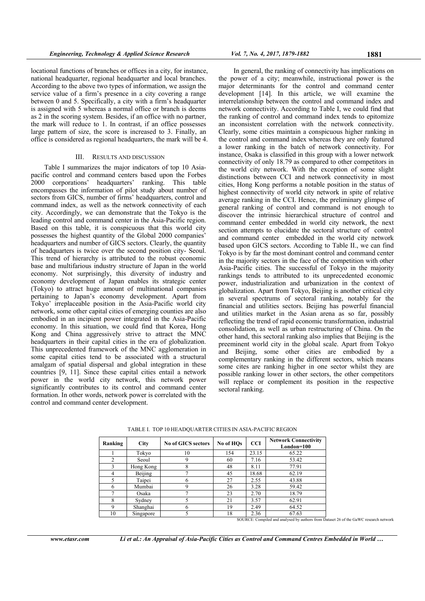locational functions of branches or offices in a city, for instance, national headquarter, regional headquarter and local branches. According to the above two types of information, we assign the service value of a firm's presence in a city covering a range between 0 and 5. Specifically, a city with a firm's headquarter is assigned with 5 whereas a normal office or branch is deems as 2 in the scoring system. Besides, if an office with no partner, the mark will reduce to 1. In contrast, if an office possesses large pattern of size, the score is increased to 3. Finally, an office is considered as regional headquarters, the mark will be 4.

#### III. RESULTS AND DISCUSSION

 Table I summarizes the major indicators of top 10 Asiapacific control and command centers based upon the Forbes 2000 corporations' headquarters' ranking. This table encompasses the information of pilot study about number of sectors from GICS, number of firms' headquarters, control and command index, as well as the network connectivity of each city. Accordingly, we can demonstrate that the Tokyo is the leading control and command center in the Asia-Pacific region. Based on this table, it is conspicuous that this world city possesses the highest quantity of the Global 2000 companies' headquarters and number of GICS sectors. Clearly, the quantity of headquarters is twice over the second position city- Seoul. This trend of hierarchy is attributed to the robust economic base and multifarious industry structure of Japan in the world economy. Not surprisingly, this diversity of industry and economy development of Japan enables its strategic center (Tokyo) to attract huge amount of multinational companies pertaining to Japan's economy development. Apart from Tokyo' irreplaceable position in the Asia-Pacific world city network, some other capital cities of emerging counties are also embodied in an incipient power integrated in the Asia-Pacific economy. In this situation, we could find that Korea, Hong Kong and China aggressively strive to attract the MNC headquarters in their capital cities in the era of globalization. This unprecedented framework of the MNC agglomeration in some capital cities tend to be associated with a structural amalgam of spatial dispersal and global integration in these countries [9, 11]. Since these capital cities entail a network power in the world city network, this network power significantly contributes to its control and command center formation. In other words, network power is correlated with the control and command center development.

 In general, the ranking of connectivity has implications on the power of a city; meanwhile, instructional power is the major determinants for the control and command center development [14]. In this article, we will examine the interrelationship between the control and command index and network connectivity. According to Table I, we could find that the ranking of control and command index tends to epitomize an inconsistent correlation with the network connectivity. Clearly, some cities maintain a conspicuous higher ranking in the control and command index whereas they are only featured a lower ranking in the batch of network connectivity. For instance, Osaka is classified in this group with a lower network connectivity of only 18.79 as compared to other competitors in the world city network. With the exception of some slight distinctions between CCI and network connectivity in most cities, Hong Kong performs a notable position in the status of highest connectivity of world city network in spite of relative average ranking in the CCI. Hence, the preliminary glimpse of general ranking of control and command is not enough to discover the intrinsic hierarchical structure of control and command center embedded in world city network, the next section attempts to elucidate the sectoral structure of control and command center embedded in the world city network based upon GICS sectors. According to Table II., we can find Tokyo is by far the most dominant control and command center in the majority sectors in the face of the competition with other Asia-Pacific cities. The successful of Tokyo in the majority rankings tends to attributed to its unprecedented economic power, industrialization and urbanization in the context of globalization. Apart from Tokyo, Beijing is another critical city in several spectrums of sectoral ranking, notably for the financial and utilities sectors. Beijing has powerful financial and utilities market in the Asian arena as so far, possibly reflecting the trend of rapid economic transformation, industrial consolidation, as well as urban restructuring of China. On the other hand, this sectoral ranking also implies that Beijing is the preeminent world city in the global scale. Apart from Tokyo and Beijing, some other cities are embodied by a complementary ranking in the different sectors, which means some cites are ranking higher in one sector whilst they are possible ranking lower in other sectors, the other competitors will replace or complement its position in the respective sectoral ranking.

| Ranking        | <b>City</b>           | <b>No of GICS sectors</b> | No of HOs | <b>CCI</b> | <b>Network Connectivity</b><br>London=100 |  |
|----------------|-----------------------|---------------------------|-----------|------------|-------------------------------------------|--|
|                | Tokyo                 | 10                        | 154       | 23.15      | 65.22                                     |  |
|                | Seoul                 |                           | 60        | 7.16       | 53.42                                     |  |
|                | Hong Kong             |                           | 48        | 8.11       | 77.91                                     |  |
|                | Beijing               |                           | 45        | 18.68      | 62.19                                     |  |
|                | Taipei                | o                         | 27        | 2.55       | 43.88                                     |  |
| 6              | Mumbai                | q                         | 26        | 3.28       | 59.42                                     |  |
|                | Osaka                 |                           | 23        | 2.70       | 18.79                                     |  |
| 8              | Sydney                |                           | 21        | 3.57       | 62.91                                     |  |
| 9              | Shanghai              | h                         | 19        | 2.49       | 64.52                                     |  |
| 1 <sub>0</sub> | S <sub>inconora</sub> |                           | 1 Q       | 2.36       | 6762                                      |  |

TABLE I. TOP 10 HEADQUARTER CITIES IN ASIA-PACIFIC REGION

10 Singapore 5 18 2.36 67.63<br>SOURCE: Compiled and analysed by authors from Dataset 26 of the GaWC research network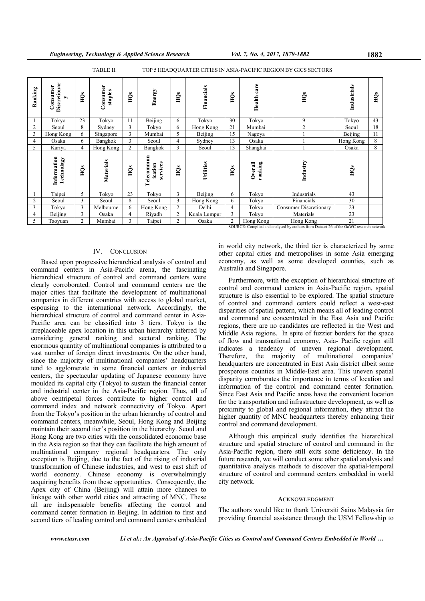| TABLE II.<br>TOP 5 HEADQUARTER CITIES IN ASIA-PACIFIC REGION BY GICS SECTORS |                               |                |                     |     |                                   |                |              |                |                    |                               |             |     |
|------------------------------------------------------------------------------|-------------------------------|----------------|---------------------|-----|-----------------------------------|----------------|--------------|----------------|--------------------|-------------------------------|-------------|-----|
| Ranking                                                                      | Discretionar<br>Consumer<br>▶ | Ě              | Consumer<br>staples | ĤО  | Energy                            | Ě              | Financials   | Ě              | Health care        | Ě                             | Industrials | НQs |
| 1                                                                            | Tokyo                         | 23             | Tokyo               | 11  | Beijing                           | 6              | Tokyo        | 30             | Tokyo              | 9                             | Tokyo       | 43  |
| $\overline{c}$                                                               | Seoul                         | 8              | Sydney              | 3   | Tokyo                             | 6              | Hong Kong    | 21             | Mumbai             | $\overline{c}$                | Seoul       | 18  |
| 3                                                                            | Hong Kong                     | 6              | Singapore           | 3   | Mumbai                            | 5              | Beijing      | 15             | Nagoya             |                               | Beijing     | 11  |
| 4                                                                            | Osaka                         | 6              | Bangkok             | 3   | Seoul                             | 4              | Sydney       | 13             | Osaka              |                               | Hong Kong   | 8   |
| 5                                                                            | Kariya                        | $\overline{4}$ | Hong Kong           | 2   | Bangkok                           | 3              | Seoul        | 13             | Shanghai           |                               | Osaka       | 8   |
|                                                                              | Information<br>Technology     | Ě              | Materials           | НQs | Telecommun<br>services<br>ication | HQs            | Utilities    | НQs            | ranking<br>Overall | Industry                      | Ě           |     |
|                                                                              | Taipei                        | 5              | Tokyo               | 23  | Tokyo                             | 3              | Beijing      | 6              | Tokyo              | Industrials                   | 43          |     |
| $\overline{c}$                                                               | Seoul                         | 3              | Seoul               | 8   | Seoul                             | 3              | Hong Kong    | 6              | Tokyo              | Financials                    | 30          |     |
| 3                                                                            | Tokyo                         | 3              | Melbourne           | 6   | Hong Kong                         | $\overline{2}$ | Delhi        | $\overline{4}$ | Tokyo              | <b>Consumer Discretionary</b> | 23          |     |
| 4                                                                            | Beijing                       | 3              | Osaka               | 4   | Riyadh                            | 2              | Kuala Lumpur | 3              | Tokyo              | Materials                     | 23          |     |
| 5                                                                            | Taoyuan                       | $\overline{c}$ | Mumbai              | 3   | Taipei                            | $\overline{c}$ | Osaka        | $\overline{c}$ | Hong Kong          | Hong Kong                     | 21          |     |

## IV. CONCLUSION

Based upon progressive hierarchical analysis of control and command centers in Asia-Pacific arena, the fascinating hierarchical structure of control and command centers were clearly corroborated. Control and command centers are the major cities that facilitate the development of multinational companies in different countries with access to global market, espousing to the international network. Accordingly, the hierarchical structure of control and command center in Asia-Pacific area can be classified into 3 tiers. Tokyo is the irreplaceable apex location in this urban hierarchy inferred by considering general ranking and sectoral ranking. The enormous quantity of multinational companies is attributed to a vast number of foreign direct investments. On the other hand, since the majority of multinational companies' headquarters tend to agglomerate in some financial centers or industrial centers, the spectacular updating of Japanese economy have moulded its capital city (Tokyo) to sustain the financial center and industrial center in the Asia-Pacific region. Thus, all of above centripetal forces contribute to higher control and command index and network connectivity of Tokyo. Apart from the Tokyo's position in the urban hierarchy of control and command centers, meanwhile, Seoul, Hong Kong and Beijing maintain their second tier's position in the hierarchy. Seoul and Hong Kong are two cities with the consolidated economic base in the Asia region so that they can facilitate the high amount of multinational company regional headquarters. The only exception is Beijing, due to the fact of the rising of industrial transformation of Chinese industries, and west to east shift of world economy. Chinese economy is overwhelmingly acquiring benefits from these opportunities. Consequently, the Apex city of China (Beijing) will attain more chances to linkage with other world cities and attracting of MNC. These all are indispensable benefits affecting the control and command center formation in Beijing. In addition to first and second tiers of leading control and command centers embedded

SOURCE: Compiled and analysed by authors from Dataset 26 of the GaWC research network

in world city network, the third tier is characterized by some other capital cities and metropolises in some Asia emerging economy, as well as some developed counties, such as Australia and Singapore.

Furthermore, with the exception of hierarchical structure of control and command centers in Asia-Pacific region, spatial structure is also essential to be explored. The spatial structure of control and command centers could reflect a west-east disparities of spatial pattern, which means all of leading control and command are concentrated in the East Asia and Pacific regions, there are no candidates are reflected in the West and Middle Asia regions. In spite of fuzzier borders for the space of flow and transnational economy, Asia- Pacific region still indicates a tendency of uneven regional development. Therefore, the majority of multinational companies' headquarters are concentrated in East Asia district albeit some prosperous counties in Middle-East area. This uneven spatial disparity corroborates the importance in terms of location and information of the control and command center formation. Since East Asia and Pacific areas have the convenient location for the transportation and infrastructure development, as well as proximity to global and regional information, they attract the higher quantity of MNC headquarters thereby enhancing their control and command development.

Although this empirical study identifies the hierarchical structure and spatial structure of control and command in the Asia-Pacific region, there still exits some deficiency. In the future research, we will conduct some other spatial analysis and quantitative analysis methods to discover the spatial-temporal structure of control and command centers embedded in world city network.

#### ACKNOWLEDGMENT

The authors would like to thank Universiti Sains Malaysia for providing financial assistance through the USM Fellowship to